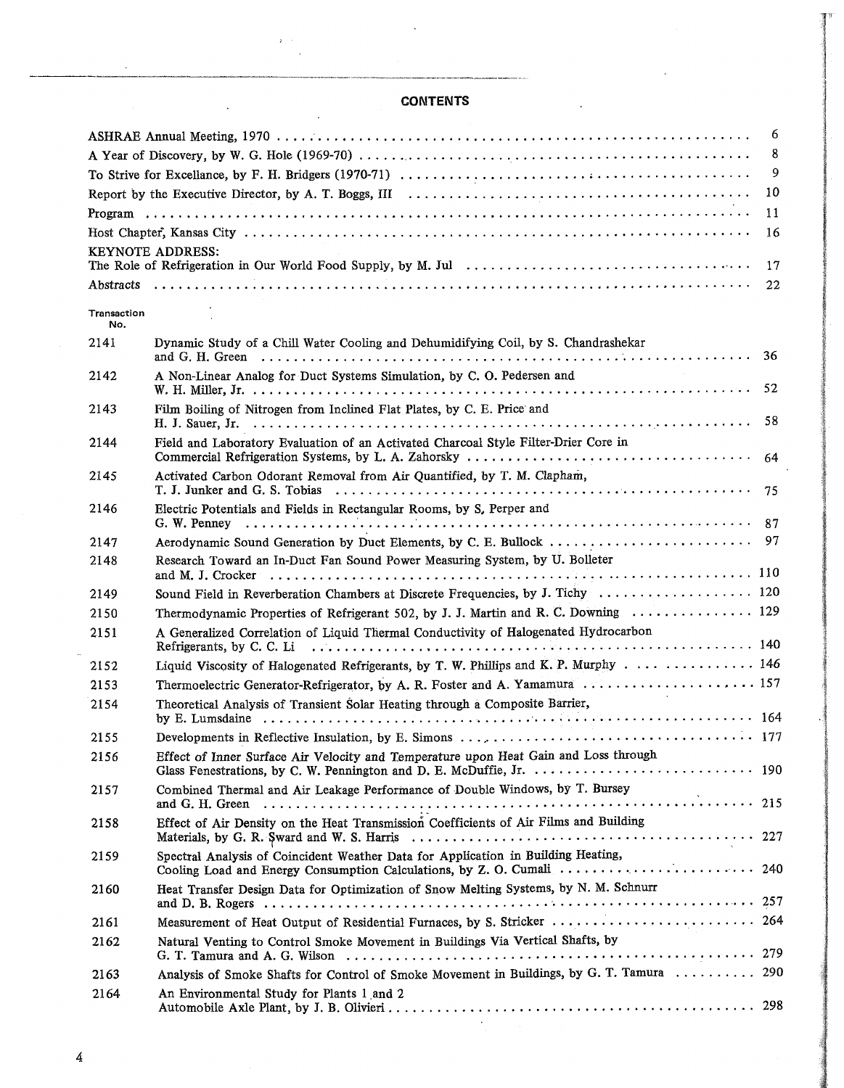## **CONTENTS**

|                    |                                                                                                                                                                                                                                                                                                                                                                                                                   | 6  |
|--------------------|-------------------------------------------------------------------------------------------------------------------------------------------------------------------------------------------------------------------------------------------------------------------------------------------------------------------------------------------------------------------------------------------------------------------|----|
|                    |                                                                                                                                                                                                                                                                                                                                                                                                                   | 8  |
|                    |                                                                                                                                                                                                                                                                                                                                                                                                                   | 9  |
|                    |                                                                                                                                                                                                                                                                                                                                                                                                                   | 10 |
|                    |                                                                                                                                                                                                                                                                                                                                                                                                                   | 11 |
|                    |                                                                                                                                                                                                                                                                                                                                                                                                                   | 16 |
|                    | <b>KEYNOTE ADDRESS:</b>                                                                                                                                                                                                                                                                                                                                                                                           | 17 |
|                    |                                                                                                                                                                                                                                                                                                                                                                                                                   |    |
| Transaction<br>No. |                                                                                                                                                                                                                                                                                                                                                                                                                   |    |
| 2141               | Dynamic Study of a Chill Water Cooling and Dehumidifying Coil, by S. Chandrashekar                                                                                                                                                                                                                                                                                                                                |    |
| 2142               | A Non-Linear Analog for Duct Systems Simulation, by C. O. Pedersen and                                                                                                                                                                                                                                                                                                                                            |    |
|                    |                                                                                                                                                                                                                                                                                                                                                                                                                   |    |
| 2143               | Film Boiling of Nitrogen from Inclined Flat Plates, by C. E. Price and                                                                                                                                                                                                                                                                                                                                            | 58 |
| 2144               | Field and Laboratory Evaluation of an Activated Charcoal Style Filter-Drier Core in                                                                                                                                                                                                                                                                                                                               |    |
|                    |                                                                                                                                                                                                                                                                                                                                                                                                                   | 64 |
| 2145               | Activated Carbon Odorant Removal from Air Quantified, by T. M. Clapham,                                                                                                                                                                                                                                                                                                                                           |    |
| 2146               | Electric Potentials and Fields in Rectangular Rooms, by S. Perper and                                                                                                                                                                                                                                                                                                                                             |    |
| 2147               |                                                                                                                                                                                                                                                                                                                                                                                                                   |    |
| 2148               | Research Toward an In-Duct Fan Sound Power Measuring System, by U. Bolleter                                                                                                                                                                                                                                                                                                                                       |    |
|                    |                                                                                                                                                                                                                                                                                                                                                                                                                   |    |
| 2149               | Sound Field in Reverberation Chambers at Discrete Frequencies, by J. Tichy  120                                                                                                                                                                                                                                                                                                                                   |    |
| 2150               | Thermodynamic Properties of Refrigerant 502, by J. J. Martin and R. C. Downing  129                                                                                                                                                                                                                                                                                                                               |    |
| 2151               | A Generalized Correlation of Liquid Thermal Conductivity of Halogenated Hydrocarbon                                                                                                                                                                                                                                                                                                                               |    |
| 2152               | Liquid Viscosity of Halogenated Refrigerants, by T. W. Phillips and K. P. Murphy  146                                                                                                                                                                                                                                                                                                                             |    |
| 2153               | Thermoelectric Generator-Refrigerator, by A. R. Foster and A. Yamamura  157                                                                                                                                                                                                                                                                                                                                       |    |
| 2154               | Theoretical Analysis of Transient Solar Heating through a Composite Barrier,                                                                                                                                                                                                                                                                                                                                      |    |
|                    |                                                                                                                                                                                                                                                                                                                                                                                                                   |    |
| 2155               |                                                                                                                                                                                                                                                                                                                                                                                                                   |    |
| 2156               | Effect of Inner Surface Air Velocity and Temperature upon Heat Gain and Loss through                                                                                                                                                                                                                                                                                                                              |    |
| 2157               | Combined Thermal and Air Leakage Performance of Double Windows, by T. Bursey<br>and G. H. Green $\ldots$ $\ldots$ $\ldots$ $\ldots$ $\ldots$ $\ldots$ $\ldots$ $\ldots$ $\ldots$ $\ldots$ $\ldots$ $\ldots$ $\ldots$ $\ldots$ $\ldots$ $\ldots$ $\ldots$ $\ldots$ $\ldots$ $\ldots$ $\ldots$ $\ldots$ $\ldots$ $\ldots$ $\ldots$ $\ldots$ $\ldots$ $\ldots$ $\ldots$ $\ldots$ $\ldots$ $\ldots$ $\ldots$ $\ldots$ |    |
| 2158               | Effect of Air Density on the Heat Transmission Coefficients of Air Films and Building                                                                                                                                                                                                                                                                                                                             |    |
| 2159               | Spectral Analysis of Coincident Weather Data for Application in Building Heating,                                                                                                                                                                                                                                                                                                                                 |    |
| 2160               | Heat Transfer Design Data for Optimization of Snow Melting Systems, by N. M. Schnurr                                                                                                                                                                                                                                                                                                                              |    |
| 2161               | Measurement of Heat Output of Residential Furnaces, by S. Stricker  264                                                                                                                                                                                                                                                                                                                                           |    |
| 2162               | Natural Venting to Control Smoke Movement in Buildings Via Vertical Shafts, by                                                                                                                                                                                                                                                                                                                                    |    |
|                    |                                                                                                                                                                                                                                                                                                                                                                                                                   |    |
| 2163               | Analysis of Smoke Shafts for Control of Smoke Movement in Buildings, by G. T. Tamura  290                                                                                                                                                                                                                                                                                                                         |    |
| 2164               | An Environmental Study for Plants 1 and 2                                                                                                                                                                                                                                                                                                                                                                         |    |